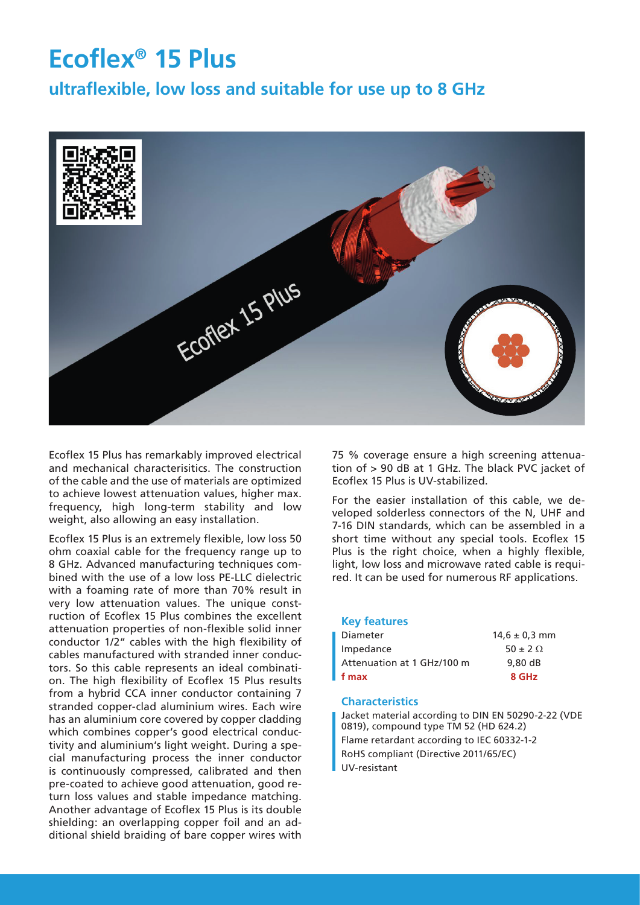# **Ecoflex® 15 Plus**

**ultraflexible, low loss and suitable for use up to 8 GHz**



Ecoflex 15 Plus has remarkably improved electrical and mechanical characterisitics. The construction of the cable and the use of materials are optimized to achieve lowest attenuation values, higher max. frequency, high long-term stability and low weight, also allowing an easy installation.

Ecoflex 15 Plus is an extremely flexible, low loss 50 ohm coaxial cable for the frequency range up to 8 GHz. Advanced manufacturing techniques combined with the use of a low loss PE-LLC dielectric with a foaming rate of more than 70% result in very low attenuation values. The unique construction of Ecoflex 15 Plus combines the excellent attenuation properties of non-flexible solid inner conductor 1/2" cables with the high flexibility of cables manufactured with stranded inner conductors. So this cable represents an ideal combination. The high flexibility of Ecoflex 15 Plus results from a hybrid CCA inner conductor containing 7 stranded copper-clad aluminium wires. Each wire has an aluminium core covered by copper cladding which combines copper's good electrical conductivity and aluminium's light weight. During a special manufacturing process the inner conductor is continuously compressed, calibrated and then pre-coated to achieve good attenuation, good return loss values and stable impedance matching. Another advantage of Ecoflex 15 Plus is its double shielding: an overlapping copper foil and an additional shield braiding of bare copper wires with

75 % coverage ensure a high screening attenuation of > 90 dB at 1 GHz. The black PVC jacket of Ecoflex 15 Plus is UV-stabilized.

For the easier installation of this cable, we developed solderless connectors of the N, UHF and 7-16 DIN standards, which can be assembled in a short time without any special tools. Ecoflex 15 Plus is the right choice, when a highly flexible, light, low loss and microwave rated cable is required. It can be used for numerous RF applications.

#### **Key features**

| $14.6 \pm 0.3$ mm |
|-------------------|
| $50 \pm 2 \Omega$ |
| 9.80dB            |
| 8 GHz             |
|                   |

#### **Characteristics**

Jacket material according to DIN EN 50290-2-22 (VDE 0819), compound type TM 52 (HD 624.2) Flame retardant according to IEC 60332-1-2 RoHS compliant (Directive 2011/65/EC) UV-resistant